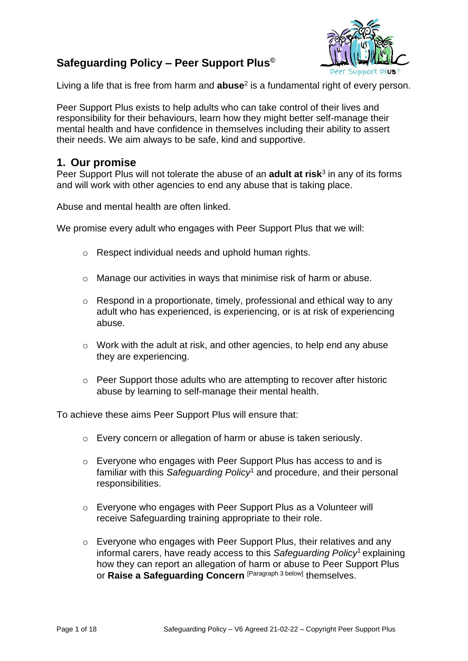# **Safeguarding Policy – Peer Support Plus©**



Living a life that is free from harm and **abuse**<sup>2</sup> is a fundamental right of every person.

Peer Support Plus exists to help adults who can take control of their lives and responsibility for their behaviours, learn how they might better self-manage their mental health and have confidence in themselves including their ability to assert their needs. We aim always to be safe, kind and supportive.

### **1. Our promise**

Peer Support Plus will not tolerate the abuse of an **adult at risk**<sup>3</sup> in any of its forms and will work with other agencies to end any abuse that is taking place.

Abuse and mental health are often linked.

We promise every adult who engages with Peer Support Plus that we will:

- o Respect individual needs and uphold human rights.
- o Manage our activities in ways that minimise risk of harm or abuse.
- o Respond in a proportionate, timely, professional and ethical way to any adult who has experienced, is experiencing, or is at risk of experiencing abuse.
- o Work with the adult at risk, and other agencies, to help end any abuse they are experiencing.
- o Peer Support those adults who are attempting to recover after historic abuse by learning to self-manage their mental health.

To achieve these aims Peer Support Plus will ensure that:

- o Every concern or allegation of harm or abuse is taken seriously.
- o Everyone who engages with Peer Support Plus has access to and is familiar with this *Safeguarding Policy*<sup>1</sup> and procedure, and their personal responsibilities.
- o Everyone who engages with Peer Support Plus as a Volunteer will receive Safeguarding training appropriate to their role.
- o Everyone who engages with Peer Support Plus, their relatives and any informal carers, have ready access to this *Safeguarding Policy*<sup>1</sup> explaining how they can report an allegation of harm or abuse to Peer Support Plus or **Raise a Safeguarding Concern** [Paragraph 3 below] themselves.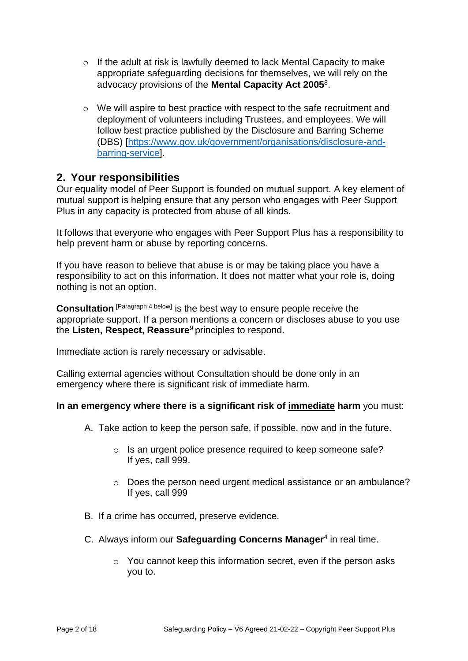- o If the adult at risk is lawfully deemed to lack Mental Capacity to make appropriate safeguarding decisions for themselves, we will rely on the advocacy provisions of the **Mental Capacity Act 2005**<sup>8</sup> .
- $\circ$  We will aspire to best practice with respect to the safe recruitment and deployment of volunteers including Trustees, and employees. We will follow best practice published by the Disclosure and Barring Scheme (DBS) [\[https://www.gov.uk/government/organisations/disclosure-and](https://www.gov.uk/government/organisations/disclosure-and-barring-service)[barring-service\]](https://www.gov.uk/government/organisations/disclosure-and-barring-service).

### **2. Your responsibilities**

Our equality model of Peer Support is founded on mutual support. A key element of mutual support is helping ensure that any person who engages with Peer Support Plus in any capacity is protected from abuse of all kinds.

It follows that everyone who engages with Peer Support Plus has a responsibility to help prevent harm or abuse by reporting concerns.

If you have reason to believe that abuse is or may be taking place you have a responsibility to act on this information. It does not matter what your role is, doing nothing is not an option.

**Consultation** [Paragraph 4 below] is the best way to ensure people receive the appropriate support. If a person mentions a concern or discloses abuse to you use the **Listen, Respect, Reassure**<sup>9</sup> principles to respond.

Immediate action is rarely necessary or advisable.

Calling external agencies without Consultation should be done only in an emergency where there is significant risk of immediate harm.

### **In an emergency where there is a significant risk of immediate harm** you must:

- A. Take action to keep the person safe, if possible, now and in the future.
	- o Is an urgent police presence required to keep someone safe? If yes, call 999.
	- o Does the person need urgent medical assistance or an ambulance? If yes, call 999
- B. If a crime has occurred, preserve evidence.
- C. Always inform our **Safeguarding Concerns Manager**<sup>4</sup> in real time.
	- o You cannot keep this information secret, even if the person asks you to.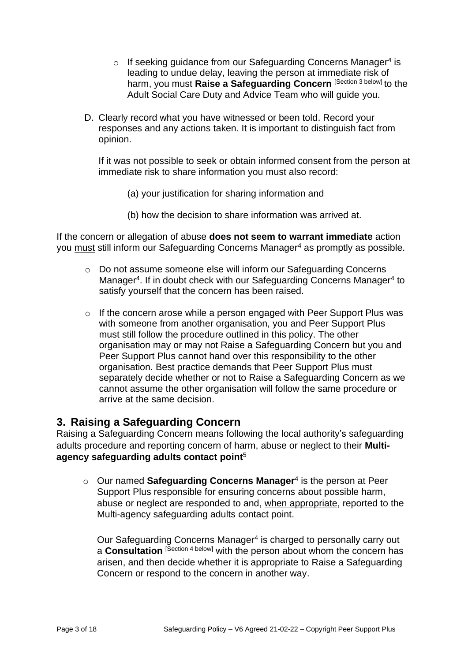- $\circ$  If seeking guidance from our Safeguarding Concerns Manager<sup>4</sup> is leading to undue delay, leaving the person at immediate risk of harm, you must **Raise a Safeguarding Concern** [Section 3 below] to the Adult Social Care Duty and Advice Team who will guide you.
- D. Clearly record what you have witnessed or been told. Record your responses and any actions taken. It is important to distinguish fact from opinion.

If it was not possible to seek or obtain informed consent from the person at immediate risk to share information you must also record:

- (a) your justification for sharing information and
- (b) how the decision to share information was arrived at.

If the concern or allegation of abuse **does not seem to warrant immediate** action you must still inform our Safeguarding Concerns Manager<sup>4</sup> as promptly as possible.

- o Do not assume someone else will inform our Safeguarding Concerns Manager<sup>4</sup>. If in doubt check with our Safeguarding Concerns Manager<sup>4</sup> to satisfy yourself that the concern has been raised.
- o If the concern arose while a person engaged with Peer Support Plus was with someone from another organisation, you and Peer Support Plus must still follow the procedure outlined in this policy. The other organisation may or may not Raise a Safeguarding Concern but you and Peer Support Plus cannot hand over this responsibility to the other organisation. Best practice demands that Peer Support Plus must separately decide whether or not to Raise a Safeguarding Concern as we cannot assume the other organisation will follow the same procedure or arrive at the same decision.

# **3. Raising a Safeguarding Concern**

Raising a Safeguarding Concern means following the local authority's safeguarding adults procedure and reporting concern of harm, abuse or neglect to their **Multiagency safeguarding adults contact point**<sup>5</sup>

o Our named **Safeguarding Concerns Manager**<sup>4</sup> is the person at Peer Support Plus responsible for ensuring concerns about possible harm, abuse or neglect are responded to and, when appropriate, reported to the Multi-agency safeguarding adults contact point.

Our Safeguarding Concerns Manager<sup>4</sup> is charged to personally carry out a **Consultation** [Section 4 below] with the person about whom the concern has arisen, and then decide whether it is appropriate to Raise a Safeguarding Concern or respond to the concern in another way.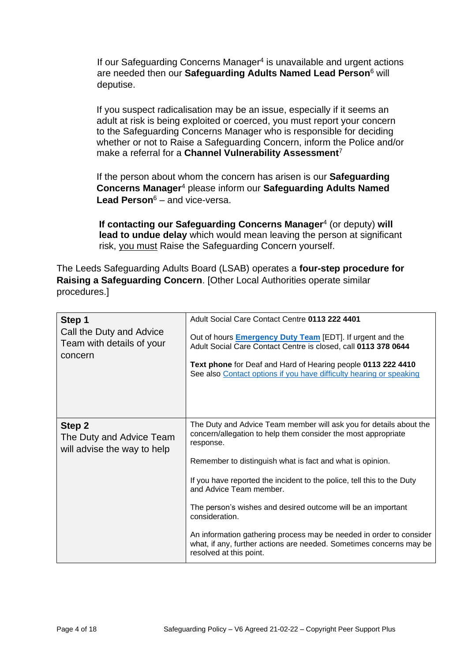If our Safeguarding Concerns Manager<sup>4</sup> is unavailable and urgent actions are needed then our **Safeguarding Adults Named Lead Person**<sup>6</sup> will deputise.

If you suspect radicalisation may be an issue, especially if it seems an adult at risk is being exploited or coerced, you must report your concern to the Safeguarding Concerns Manager who is responsible for deciding whether or not to Raise a Safeguarding Concern, inform the Police and/or make a referral for a **Channel Vulnerability Assessment**<sup>7</sup>

If the person about whom the concern has arisen is our **Safeguarding Concerns Manager**<sup>4</sup> please inform our **Safeguarding Adults Named Lead Person**<sup>6</sup> – and vice-versa.

**If contacting our Safeguarding Concerns Manager**<sup>4</sup> (or deputy) **will lead to undue delay** which would mean leaving the person at significant risk, you must Raise the Safeguarding Concern yourself.

The Leeds Safeguarding Adults Board (LSAB) operates a **four-step procedure for Raising a Safeguarding Concern**. [Other Local Authorities operate similar procedures.]

| Step 1<br>Call the Duty and Advice<br>Team with details of your<br>concern | Adult Social Care Contact Centre 0113 222 4401<br>Out of hours <b>Emergency Duty Team</b> [EDT]. If urgent and the<br>Adult Social Care Contact Centre is closed, call 0113 378 0644<br>Text phone for Deaf and Hard of Hearing people 0113 222 4410<br>See also Contact options if you have difficulty hearing or speaking |
|----------------------------------------------------------------------------|-----------------------------------------------------------------------------------------------------------------------------------------------------------------------------------------------------------------------------------------------------------------------------------------------------------------------------|
| Step 2<br>The Duty and Advice Team<br>will advise the way to help          | The Duty and Advice Team member will ask you for details about the<br>concern/allegation to help them consider the most appropriate<br>response.<br>Remember to distinguish what is fact and what is opinion.<br>If you have reported the incident to the police, tell this to the Duty                                     |
|                                                                            | and Advice Team member.<br>The person's wishes and desired outcome will be an important<br>consideration.                                                                                                                                                                                                                   |
|                                                                            | An information gathering process may be needed in order to consider<br>what, if any, further actions are needed. Sometimes concerns may be<br>resolved at this point.                                                                                                                                                       |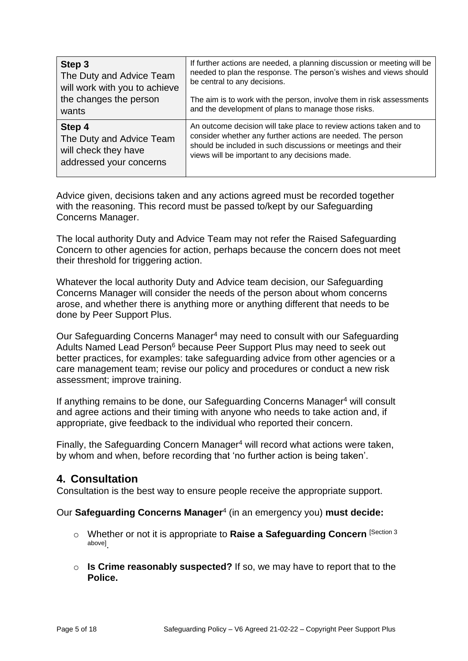| Step 3                        | If further actions are needed, a planning discussion or meeting will be |
|-------------------------------|-------------------------------------------------------------------------|
| The Duty and Advice Team      | needed to plan the response. The person's wishes and views should       |
| will work with you to achieve | be central to any decisions.                                            |
| the changes the person        | The aim is to work with the person, involve them in risk assessments    |
| wants                         | and the development of plans to manage those risks.                     |
| Step 4                        | An outcome decision will take place to review actions taken and to      |
| The Duty and Advice Team      | consider whether any further actions are needed. The person             |
| will check they have          | should be included in such discussions or meetings and their            |
| addressed your concerns       | views will be important to any decisions made.                          |

Advice given, decisions taken and any actions agreed must be recorded together with the reasoning. This record must be passed to/kept by our Safeguarding Concerns Manager.

The local authority Duty and Advice Team may not refer the Raised Safeguarding Concern to other agencies for action, perhaps because the concern does not meet their threshold for triggering action.

Whatever the local authority Duty and Advice team decision, our Safeguarding Concerns Manager will consider the needs of the person about whom concerns arose, and whether there is anything more or anything different that needs to be done by Peer Support Plus.

Our Safeguarding Concerns Manager<sup>4</sup> may need to consult with our Safeguarding Adults Named Lead Person<sup>6</sup> because Peer Support Plus may need to seek out better practices, for examples: take safeguarding advice from other agencies or a care management team; revise our policy and procedures or conduct a new risk assessment; improve training.

If anything remains to be done, our Safeguarding Concerns Manager<sup>4</sup> will consult and agree actions and their timing with anyone who needs to take action and, if appropriate, give feedback to the individual who reported their concern.

Finally, the Safeguarding Concern Manager<sup>4</sup> will record what actions were taken, by whom and when, before recording that 'no further action is being taken'.

# **4. Consultation**

Consultation is the best way to ensure people receive the appropriate support.

Our **Safeguarding Concerns Manager**<sup>4</sup> (in an emergency you) **must decide:**

- o Whether or not it is appropriate to **Raise a Safeguarding Concern** [Section <sup>3</sup> above] .
- o **Is Crime reasonably suspected?** If so, we may have to report that to the **Police.**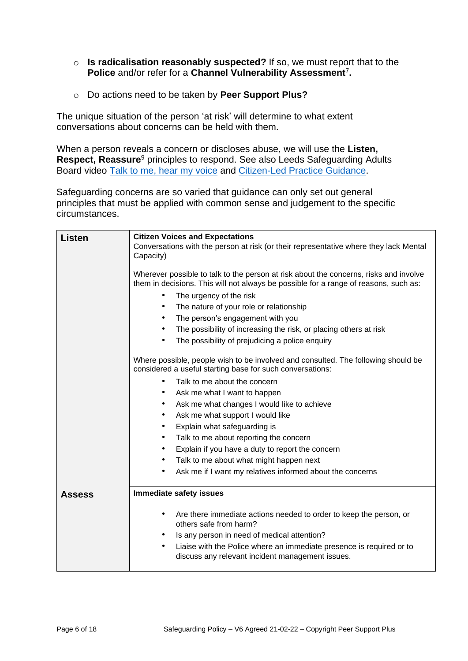- o **Is radicalisation reasonably suspected?** If so, we must report that to the **Police** and/or refer for a **Channel Vulnerability Assessment**<sup>7</sup> **.**
- o Do actions need to be taken by **Peer Support Plus?**

The unique situation of the person 'at risk' will determine to what extent conversations about concerns can be held with them.

When a person reveals a concern or discloses abuse, we will use the **Listen, Respect, Reassure**<sup>9</sup> principles to respond. See also Leeds Safeguarding Adults Board video [Talk to me, hear my voice](https://www.youtube.com/channel/UCGG-J6Io67v71xUL0tQqlmQ) and [Citizen-Led Practice Guidance.](https://leedssafeguardingadults.org.uk/Documents/Safeguarding/Citizen-Led%20Practice%20Guidance.pdf)

Safeguarding concerns are so varied that guidance can only set out general principles that must be applied with common sense and judgement to the specific circumstances.

| Listen        | <b>Citizen Voices and Expectations</b>                                                                                                                                        |  |  |
|---------------|-------------------------------------------------------------------------------------------------------------------------------------------------------------------------------|--|--|
|               | Conversations with the person at risk (or their representative where they lack Mental<br>Capacity)                                                                            |  |  |
|               |                                                                                                                                                                               |  |  |
|               | Wherever possible to talk to the person at risk about the concerns, risks and involve<br>them in decisions. This will not always be possible for a range of reasons, such as: |  |  |
|               | The urgency of the risk                                                                                                                                                       |  |  |
|               | The nature of your role or relationship<br>$\bullet$                                                                                                                          |  |  |
|               | The person's engagement with you<br>٠                                                                                                                                         |  |  |
|               | The possibility of increasing the risk, or placing others at risk<br>٠                                                                                                        |  |  |
|               | The possibility of prejudicing a police enquiry                                                                                                                               |  |  |
|               | Where possible, people wish to be involved and consulted. The following should be<br>considered a useful starting base for such conversations:                                |  |  |
|               | Talk to me about the concern                                                                                                                                                  |  |  |
|               | Ask me what I want to happen<br>٠                                                                                                                                             |  |  |
|               | Ask me what changes I would like to achieve<br>٠                                                                                                                              |  |  |
|               | Ask me what support I would like<br>٠                                                                                                                                         |  |  |
|               | Explain what safeguarding is                                                                                                                                                  |  |  |
|               | Talk to me about reporting the concern<br>٠                                                                                                                                   |  |  |
|               | Explain if you have a duty to report the concern<br>٠                                                                                                                         |  |  |
|               | Talk to me about what might happen next<br>٠                                                                                                                                  |  |  |
|               | Ask me if I want my relatives informed about the concerns                                                                                                                     |  |  |
| <b>Assess</b> | <b>Immediate safety issues</b>                                                                                                                                                |  |  |
|               | Are there immediate actions needed to order to keep the person, or<br>$\bullet$<br>others safe from harm?                                                                     |  |  |
|               | Is any person in need of medical attention?<br>٠                                                                                                                              |  |  |
|               | Liaise with the Police where an immediate presence is required or to<br>٠                                                                                                     |  |  |
|               | discuss any relevant incident management issues.                                                                                                                              |  |  |
|               |                                                                                                                                                                               |  |  |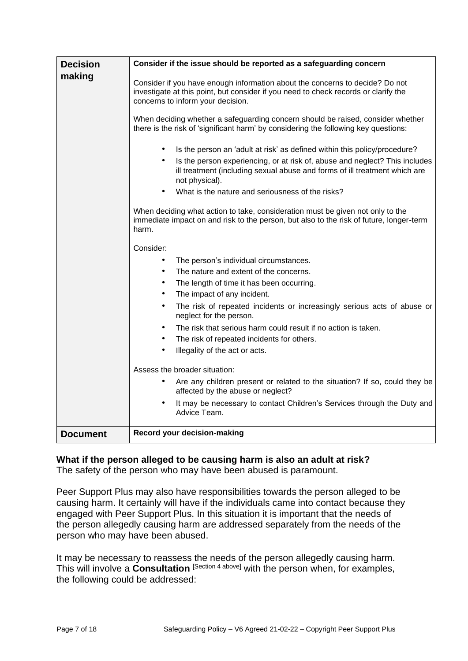| <b>Decision</b> | Consider if the issue should be reported as a safeguarding concern                                                                                                                                       |  |  |
|-----------------|----------------------------------------------------------------------------------------------------------------------------------------------------------------------------------------------------------|--|--|
| making          | Consider if you have enough information about the concerns to decide? Do not<br>investigate at this point, but consider if you need to check records or clarify the<br>concerns to inform your decision. |  |  |
|                 | When deciding whether a safeguarding concern should be raised, consider whether<br>there is the risk of 'significant harm' by considering the following key questions:                                   |  |  |
|                 | Is the person an 'adult at risk' as defined within this policy/procedure?                                                                                                                                |  |  |
|                 | Is the person experiencing, or at risk of, abuse and neglect? This includes<br>$\bullet$<br>ill treatment (including sexual abuse and forms of ill treatment which are<br>not physical).                 |  |  |
|                 | What is the nature and seriousness of the risks?<br>$\bullet$                                                                                                                                            |  |  |
|                 | When deciding what action to take, consideration must be given not only to the<br>immediate impact on and risk to the person, but also to the risk of future, longer-term<br>harm.                       |  |  |
|                 | Consider:                                                                                                                                                                                                |  |  |
|                 | $\bullet$<br>The person's individual circumstances.                                                                                                                                                      |  |  |
|                 | $\bullet$<br>The nature and extent of the concerns.                                                                                                                                                      |  |  |
|                 | $\bullet$<br>The length of time it has been occurring.                                                                                                                                                   |  |  |
|                 | The impact of any incident.<br>$\bullet$                                                                                                                                                                 |  |  |
|                 | $\bullet$<br>The risk of repeated incidents or increasingly serious acts of abuse or<br>neglect for the person.                                                                                          |  |  |
|                 | The risk that serious harm could result if no action is taken.<br>٠                                                                                                                                      |  |  |
|                 | The risk of repeated incidents for others.<br>$\bullet$                                                                                                                                                  |  |  |
|                 | Illegality of the act or acts.<br>$\bullet$                                                                                                                                                              |  |  |
|                 | Assess the broader situation:                                                                                                                                                                            |  |  |
|                 | Are any children present or related to the situation? If so, could they be<br>affected by the abuse or neglect?                                                                                          |  |  |
|                 | It may be necessary to contact Children's Services through the Duty and<br>٠<br>Advice Team.                                                                                                             |  |  |
| <b>Document</b> | Record your decision-making                                                                                                                                                                              |  |  |

### **What if the person alleged to be causing harm is also an adult at risk?**

The safety of the person who may have been abused is paramount.

Peer Support Plus may also have responsibilities towards the person alleged to be causing harm. It certainly will have if the individuals came into contact because they engaged with Peer Support Plus. In this situation it is important that the needs of the person allegedly causing harm are addressed separately from the needs of the person who may have been abused.

It may be necessary to reassess the needs of the person allegedly causing harm. This will involve a **Consultation** [Section 4 above] with the person when, for examples, the following could be addressed: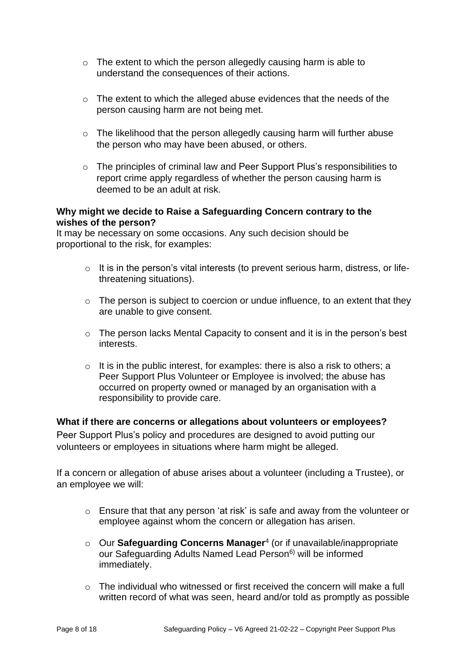- $\circ$  The extent to which the person allegedly causing harm is able to understand the consequences of their actions.
- o The extent to which the alleged abuse evidences that the needs of the person causing harm are not being met.
- $\circ$  The likelihood that the person allegedly causing harm will further abuse the person who may have been abused, or others.
- o The principles of criminal law and Peer Support Plus's responsibilities to report crime apply regardless of whether the person causing harm is deemed to be an adult at risk.

### **Why might we decide to Raise a Safeguarding Concern contrary to the wishes of the person?**

It may be necessary on some occasions. Any such decision should be proportional to the risk, for examples:

- o It is in the person's vital interests (to prevent serious harm, distress, or lifethreatening situations).
- o The person is subject to coercion or undue influence, to an extent that they are unable to give consent.
- o The person lacks Mental Capacity to consent and it is in the person's best interests.
- $\circ$  It is in the public interest, for examples: there is also a risk to others; a Peer Support Plus Volunteer or Employee is involved; the abuse has occurred on property owned or managed by an organisation with a responsibility to provide care.

### **What if there are concerns or allegations about volunteers or employees?**

Peer Support Plus's policy and procedures are designed to avoid putting our volunteers or employees in situations where harm might be alleged.

If a concern or allegation of abuse arises about a volunteer (including a Trustee), or an employee we will:

- o Ensure that that any person 'at risk' is safe and away from the volunteer or employee against whom the concern or allegation has arisen.
- o Our **Safeguarding Concerns Manager**<sup>4</sup> (or if unavailable/inappropriate our Safeguarding Adults Named Lead Person<sup>6)</sup> will be informed immediately.
- $\circ$  The individual who witnessed or first received the concern will make a full written record of what was seen, heard and/or told as promptly as possible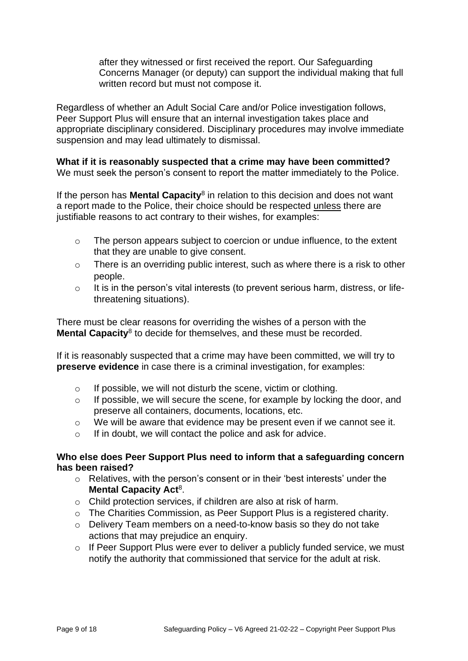after they witnessed or first received the report. Our Safeguarding Concerns Manager (or deputy) can support the individual making that full written record but must not compose it.

Regardless of whether an Adult Social Care and/or Police investigation follows, Peer Support Plus will ensure that an internal investigation takes place and appropriate disciplinary considered. Disciplinary procedures may involve immediate suspension and may lead ultimately to dismissal.

### **What if it is reasonably suspected that a crime may have been committed?**

We must seek the person's consent to report the matter immediately to the Police.

If the person has **Mental Capacity**<sup>8</sup> in relation to this decision and does not want a report made to the Police, their choice should be respected unless there are justifiable reasons to act contrary to their wishes, for examples:

- o The person appears subject to coercion or undue influence, to the extent that they are unable to give consent.
- o There is an overriding public interest, such as where there is a risk to other people.
- $\circ$  It is in the person's vital interests (to prevent serious harm, distress, or lifethreatening situations).

There must be clear reasons for overriding the wishes of a person with the Mental Capacity<sup>8</sup> to decide for themselves, and these must be recorded.

If it is reasonably suspected that a crime may have been committed, we will try to **preserve evidence** in case there is a criminal investigation, for examples:

- o If possible, we will not disturb the scene, victim or clothing.
- o If possible, we will secure the scene, for example by locking the door, and preserve all containers, documents, locations, etc.
- o We will be aware that evidence may be present even if we cannot see it.
- o If in doubt, we will contact the police and ask for advice.

#### **Who else does Peer Support Plus need to inform that a safeguarding concern has been raised?**

- o Relatives, with the person's consent or in their 'best interests' under the Mental Capacity Act<sup>8</sup>.
- o Child protection services, if children are also at risk of harm.
- o The Charities Commission, as Peer Support Plus is a registered charity.
- o Delivery Team members on a need-to-know basis so they do not take actions that may prejudice an enquiry.
- o If Peer Support Plus were ever to deliver a publicly funded service, we must notify the authority that commissioned that service for the adult at risk.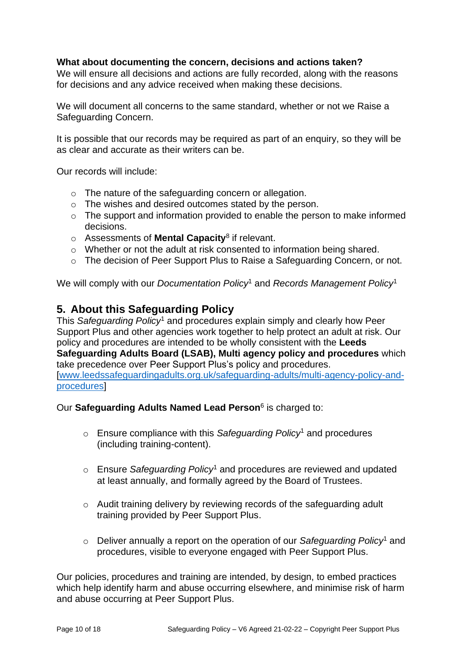### **What about documenting the concern, decisions and actions taken?**

We will ensure all decisions and actions are fully recorded, along with the reasons for decisions and any advice received when making these decisions.

We will document all concerns to the same standard, whether or not we Raise a Safeguarding Concern.

It is possible that our records may be required as part of an enquiry, so they will be as clear and accurate as their writers can be.

Our records will include:

- o The nature of the safeguarding concern or allegation.
- o The wishes and desired outcomes stated by the person.
- o The support and information provided to enable the person to make informed decisions.
- o Assessments of **Mental Capacity**<sup>8</sup> if relevant.
- o Whether or not the adult at risk consented to information being shared.
- o The decision of Peer Support Plus to Raise a Safeguarding Concern, or not.

We will comply with our *Documentation Policy*<sup>1</sup> and *Records Management Policy*<sup>1</sup>

# **5. About this Safeguarding Policy**

This *Safeguarding Policy*<sup>1</sup> and procedures explain simply and clearly how Peer Support Plus and other agencies work together to help protect an adult at risk. Our policy and procedures are intended to be wholly consistent with the **Leeds Safeguarding Adults Board (LSAB), Multi agency policy and procedures** which take precedence over Peer Support Plus's policy and procedures. [\[www.leedssafeguardingadults.org.uk/safeguarding-adults/multi-agency-policy-and](http://www.leedssafeguardingadults.org.uk/safeguarding-adults/multi-agency-policy-and-procedures)[procedures\]](http://www.leedssafeguardingadults.org.uk/safeguarding-adults/multi-agency-policy-and-procedures)

Our **Safeguarding Adults Named Lead Person**<sup>6</sup> is charged to:

- o Ensure compliance with this *Safeguarding Policy*<sup>1</sup> and procedures (including training-content).
- o Ensure *Safeguarding Policy*<sup>1</sup> and procedures are reviewed and updated at least annually, and formally agreed by the Board of Trustees.
- o Audit training delivery by reviewing records of the safeguarding adult training provided by Peer Support Plus.
- o Deliver annually a report on the operation of our *Safeguarding Policy*<sup>1</sup> and procedures, visible to everyone engaged with Peer Support Plus.

Our policies, procedures and training are intended, by design, to embed practices which help identify harm and abuse occurring elsewhere, and minimise risk of harm and abuse occurring at Peer Support Plus.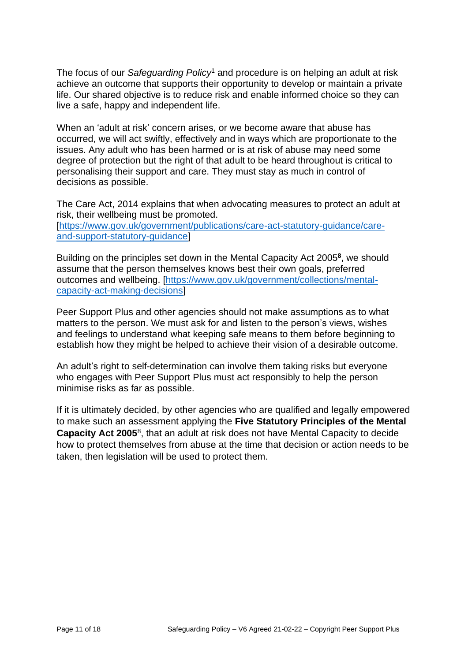The focus of our *Safeguarding Policy*<sup>1</sup> and procedure is on helping an adult at risk achieve an outcome that supports their opportunity to develop or maintain a private life. Our shared objective is to reduce risk and enable informed choice so they can live a safe, happy and independent life.

When an 'adult at risk' concern arises, or we become aware that abuse has occurred, we will act swiftly, effectively and in ways which are proportionate to the issues. Any adult who has been harmed or is at risk of abuse may need some degree of protection but the right of that adult to be heard throughout is critical to personalising their support and care. They must stay as much in control of decisions as possible.

The Care Act, 2014 explains that when advocating measures to protect an adult at risk, their wellbeing must be promoted. [\[https://www.gov.uk/government/publications/care-act-statutory-guidance/care](https://www.gov.uk/government/publications/care-act-statutory-guidance/care-and-support-statutory-guidance)[and-support-statutory-guidance\]](https://www.gov.uk/government/publications/care-act-statutory-guidance/care-and-support-statutory-guidance)

Building on the principles set down in the Mental Capacity Act 2005**<sup>8</sup>** , we should assume that the person themselves knows best their own goals, preferred outcomes and wellbeing. [\[https://www.gov.uk/government/collections/mental](https://www.gov.uk/government/collections/mental-capacity-act-making-decisions)[capacity-act-making-decisions\]](https://www.gov.uk/government/collections/mental-capacity-act-making-decisions)

Peer Support Plus and other agencies should not make assumptions as to what matters to the person. We must ask for and listen to the person's views, wishes and feelings to understand what keeping safe means to them before beginning to establish how they might be helped to achieve their vision of a desirable outcome.

An adult's right to self-determination can involve them taking risks but everyone who engages with Peer Support Plus must act responsibly to help the person minimise risks as far as possible.

If it is ultimately decided, by other agencies who are qualified and legally empowered to make such an assessment applying the **Five Statutory Principles of the Mental**  Capacity Act 2005<sup>8</sup>, that an adult at risk does not have Mental Capacity to decide how to protect themselves from abuse at the time that decision or action needs to be taken, then legislation will be used to protect them.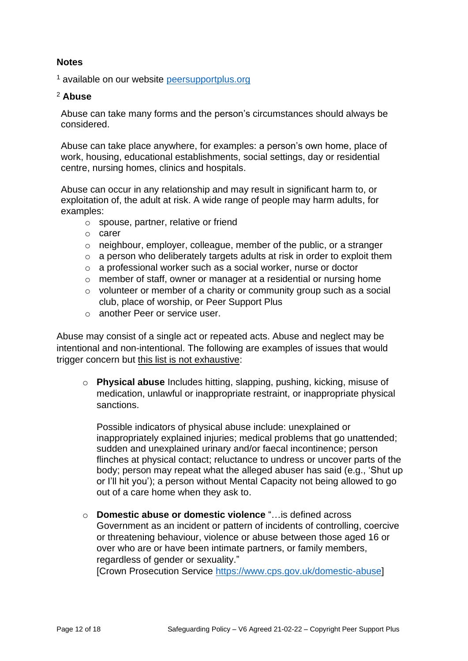### **Notes**

<sup>1</sup> available on our website [peersupportplus.org](http://www.peersupportplus.org/)

#### <sup>2</sup> **Abuse**

Abuse can take many forms and the person's circumstances should always be considered.

Abuse can take place anywhere, for examples: a person's own home, place of work, housing, educational establishments, social settings, day or residential centre, nursing homes, clinics and hospitals.

Abuse can occur in any relationship and may result in significant harm to, or exploitation of, the adult at risk. A wide range of people may harm adults, for examples:

- o spouse, partner, relative or friend
- o carer
- o neighbour, employer, colleague, member of the public, or a stranger
- o a person who deliberately targets adults at risk in order to exploit them
- o a professional worker such as a social worker, nurse or doctor
- o member of staff, owner or manager at a residential or nursing home
- o volunteer or member of a charity or community group such as a social club, place of worship, or Peer Support Plus
- o another Peer or service user.

Abuse may consist of a single act or repeated acts. Abuse and neglect may be intentional and non-intentional. The following are examples of issues that would trigger concern but this list is not exhaustive:

o **Physical abuse** Includes hitting, slapping, pushing, kicking, misuse of medication, unlawful or inappropriate restraint, or inappropriate physical sanctions.

Possible indicators of physical abuse include: unexplained or inappropriately explained injuries; medical problems that go unattended; sudden and unexplained urinary and/or faecal incontinence; person flinches at physical contact; reluctance to undress or uncover parts of the body; person may repeat what the alleged abuser has said (e.g., 'Shut up or I'll hit you'); a person without Mental Capacity not being allowed to go out of a care home when they ask to.

o **Domestic abuse or domestic violence** "…is defined across Government as an incident or pattern of incidents of controlling, coercive or threatening behaviour, violence or abuse between those aged 16 or over who are or have been intimate partners, or family members, regardless of gender or sexuality."

[Crown Prosecution Service [https://www.cps.gov.uk/domestic-abuse\]](https://www.cps.gov.uk/domestic-abuse)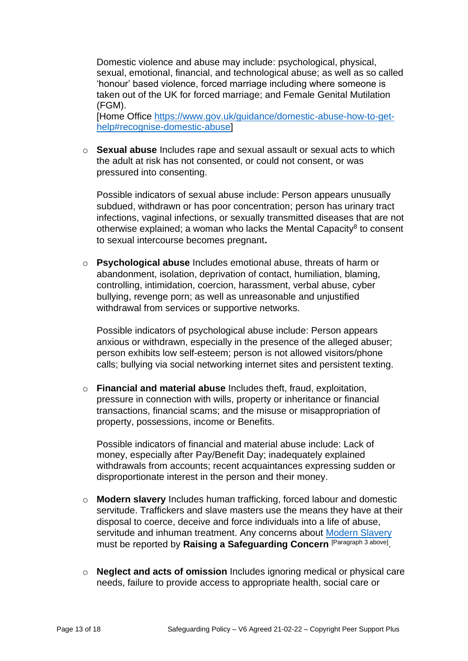Domestic violence and abuse may include: psychological, physical, sexual, emotional, financial, and technological abuse; as well as so called 'honour' based violence, forced marriage including where someone is taken out of the UK for forced marriage; and Female Genital Mutilation (FGM).

[Home Office [https://www.gov.uk/guidance/domestic-abuse-how-to-get](https://www.gov.uk/guidance/domestic-abuse-how-to-get-help#recognise-domestic-abuse)[help#recognise-domestic-abuse\]](https://www.gov.uk/guidance/domestic-abuse-how-to-get-help#recognise-domestic-abuse)

o **Sexual abuse** Includes rape and sexual assault or sexual acts to which the adult at risk has not consented, or could not consent, or was pressured into consenting.

Possible indicators of sexual abuse include: Person appears unusually subdued, withdrawn or has poor concentration; person has urinary tract infections, vaginal infections, or sexually transmitted diseases that are not otherwise explained; a woman who lacks the Mental Capacity<sup>8</sup> to consent to sexual intercourse becomes pregnant**.**

o **Psychological abuse** Includes emotional abuse, threats of harm or abandonment, isolation, deprivation of contact, humiliation, blaming, controlling, intimidation, coercion, harassment, verbal abuse, cyber bullying, revenge porn; as well as unreasonable and unjustified withdrawal from services or supportive networks.

Possible indicators of psychological abuse include: Person appears anxious or withdrawn, especially in the presence of the alleged abuser; person exhibits low self-esteem; person is not allowed visitors/phone calls; bullying via social networking internet sites and persistent texting.

o **Financial and material abuse** Includes theft, fraud, exploitation, pressure in connection with wills, property or inheritance or financial transactions, financial scams; and the misuse or misappropriation of property, possessions, income or Benefits.

Possible indicators of financial and material abuse include: Lack of money, especially after Pay/Benefit Day; inadequately explained withdrawals from accounts; recent acquaintances expressing sudden or disproportionate interest in the person and their money.

- o **Modern slavery** Includes human trafficking, forced labour and domestic servitude. Traffickers and slave masters use the means they have at their disposal to coerce, deceive and force individuals into a life of abuse, servitude and inhuman treatment. Any concerns about [Modern Slavery](https://www.leeds.gov.uk/antisocial-behaviour-and-crime/help-for-victims-of-modern-slavery) must be reported by **Raising a Safeguarding Concern** [Paragraph 3 above] .
- o **Neglect and acts of omission** Includes ignoring medical or physical care needs, failure to provide access to appropriate health, social care or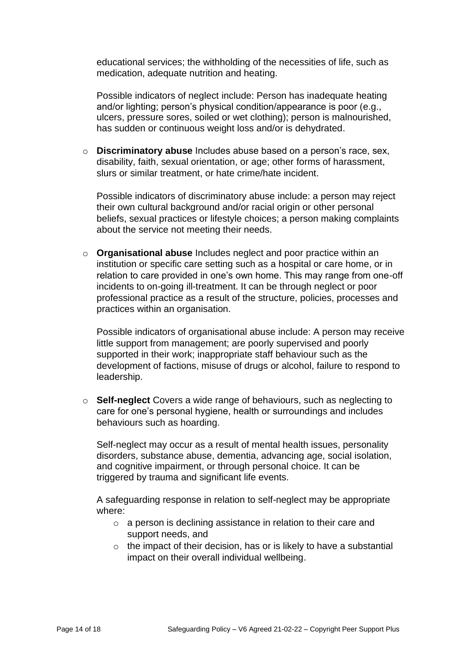educational services; the withholding of the necessities of life, such as medication, adequate nutrition and heating.

Possible indicators of neglect include: Person has inadequate heating and/or lighting; person's physical condition/appearance is poor (e.g., ulcers, pressure sores, soiled or wet clothing); person is malnourished, has sudden or continuous weight loss and/or is dehydrated.

o **Discriminatory abuse** Includes abuse based on a person's race, sex, disability, faith, sexual orientation, or age; other forms of harassment, slurs or similar treatment, or hate crime/hate incident.

Possible indicators of discriminatory abuse include: a person may reject their own cultural background and/or racial origin or other personal beliefs, sexual practices or lifestyle choices; a person making complaints about the service not meeting their needs.

o **Organisational abuse** Includes neglect and poor practice within an institution or specific care setting such as a hospital or care home, or in relation to care provided in one's own home. This may range from one-off incidents to on-going ill-treatment. It can be through neglect or poor professional practice as a result of the structure, policies, processes and practices within an organisation.

Possible indicators of organisational abuse include: A person may receive little support from management; are poorly supervised and poorly supported in their work; inappropriate staff behaviour such as the development of factions, misuse of drugs or alcohol, failure to respond to leadership.

o **Self-neglect** Covers a wide range of behaviours, such as neglecting to care for one's personal hygiene, health or surroundings and includes behaviours such as hoarding.

Self-neglect may occur as a result of mental health issues, personality disorders, substance abuse, dementia, advancing age, social isolation, and cognitive impairment, or through personal choice. It can be triggered by trauma and significant life events.

A safeguarding response in relation to self-neglect may be appropriate where:

- o a person is declining assistance in relation to their care and support needs, and
- $\circ$  the impact of their decision, has or is likely to have a substantial impact on their overall individual wellbeing.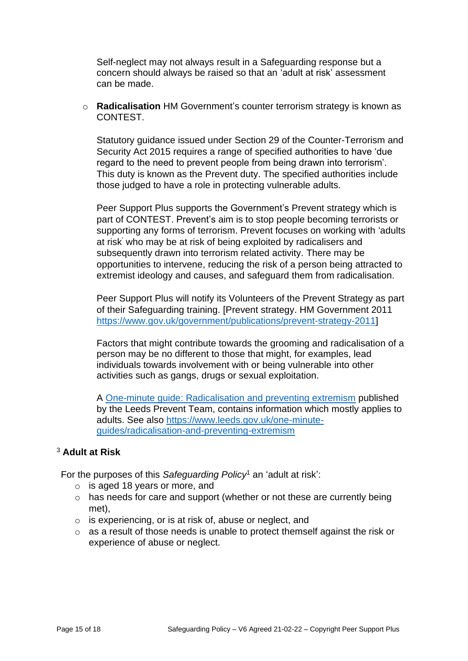Self-neglect may not always result in a Safeguarding response but a concern should always be raised so that an 'adult at risk' assessment can be made.

o **Radicalisation** HM Government's counter terrorism strategy is known as CONTEST.

Statutory guidance issued under Section 29 of the Counter-Terrorism and Security Act 2015 requires a range of specified authorities to have 'due regard to the need to prevent people from being drawn into terrorism'. This duty is known as the Prevent duty. The specified authorities include those judged to have a role in protecting vulnerable adults.

Peer Support Plus supports the Government's Prevent strategy which is part of CONTEST. Prevent's aim is to stop people becoming terrorists or supporting any forms of terrorism. Prevent focuses on working with 'adults at risk' who may be at risk of being exploited by radicalisers and subsequently drawn into terrorism related activity. There may be opportunities to intervene, reducing the risk of a person being attracted to extremist ideology and causes, and safeguard them from radicalisation.

Peer Support Plus will notify its Volunteers of the Prevent Strategy as part of their Safeguarding training. [Prevent strategy. HM Government 2011 [https://www.gov.uk/government/publications/prevent-strategy-2011\]](https://www.gov.uk/government/publications/prevent-strategy-2011)

Factors that might contribute towards the grooming and radicalisation of a person may be no different to those that might, for examples, lead individuals towards involvement with or being vulnerable into other activities such as gangs, drugs or sexual exploitation.

A One-minute guide: [Radicalisation and preventing extremism](https://www.leeds.gov.uk/docs/One%20minute%20guides/102%20-%20Radicalisation%20and%20preventing%20extremism.pdf) published by the Leeds Prevent Team, contains information which mostly applies to adults. See also [https://www.leeds.gov.uk/one-minute](https://www.leeds.gov.uk/one-minute-guides/radicalisation-and-preventing-extremism)[guides/radicalisation-and-preventing-extremism](https://www.leeds.gov.uk/one-minute-guides/radicalisation-and-preventing-extremism) 

### <sup>3</sup> **Adult at Risk**

For the purposes of this *Safeguarding Policy*<sup>1</sup> an 'adult at risk':

- $\circ$  is aged 18 years or more, and
- o has needs for care and support (whether or not these are currently being met),
- o is experiencing, or is at risk of, abuse or neglect, and
- o as a result of those needs is unable to protect themself against the risk or experience of abuse or neglect.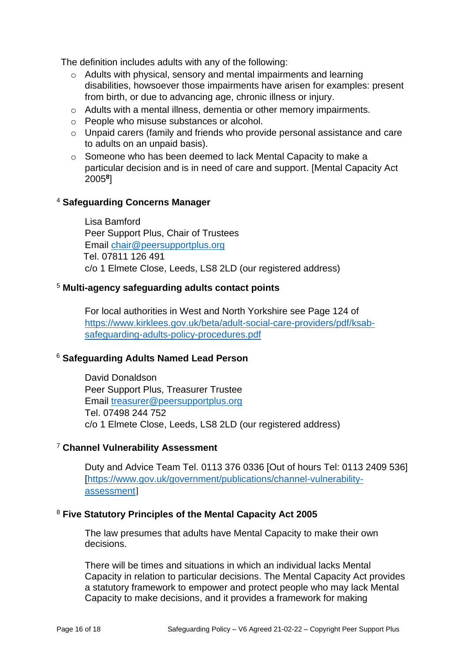The definition includes adults with any of the following:

- o Adults with physical, sensory and mental impairments and learning disabilities, howsoever those impairments have arisen for examples: present from birth, or due to advancing age, chronic illness or injury.
- o Adults with a mental illness, dementia or other memory impairments.
- o People who misuse substances or alcohol.
- o Unpaid carers (family and friends who provide personal assistance and care to adults on an unpaid basis).
- $\circ$  Someone who has been deemed to lack Mental Capacity to make a particular decision and is in need of care and support. [Mental Capacity Act 2005**<sup>8</sup>** ]

### <sup>4</sup> **Safeguarding Concerns Manager**

Lisa Bamford Peer Support Plus, Chair of Trustees Email [chair@peersupportplus.org](mailto:chair@peersupportplus.org) Tel. 07811 126 491 c/o 1 Elmete Close, Leeds, LS8 2LD (our registered address)

### <sup>5</sup> **Multi-agency safeguarding adults contact points**

For local authorities in West and North Yorkshire see Page 124 of [https://www.kirklees.gov.uk/beta/adult-social-care-providers/pdf/ksab](https://www.kirklees.gov.uk/beta/adult-social-care-providers/pdf/ksab-safeguarding-adults-policy-procedures.pdf)[safeguarding-adults-policy-procedures.pdf](https://www.kirklees.gov.uk/beta/adult-social-care-providers/pdf/ksab-safeguarding-adults-policy-procedures.pdf)

### <sup>6</sup> **Safeguarding Adults Named Lead Person**

David Donaldson Peer Support Plus, Treasurer Trustee Email [treasurer@peersupportplus.org](mailto:treasurer@peersupportplus.org) Tel. 07498 244 752 c/o 1 Elmete Close, Leeds, LS8 2LD (our registered address)

### <sup>7</sup> **Channel Vulnerability Assessment**

Duty and Advice Team Tel. 0113 376 0336 [Out of hours Tel: 0113 2409 536] [\[https://www.gov.uk/government/publications/channel-vulnerability](https://www.gov.uk/government/publications/channel-vulnerability-assessment)[assessment](https://www.gov.uk/government/publications/channel-vulnerability-assessment)]

### <sup>8</sup> **Five Statutory Principles of the Mental Capacity Act 2005**

The law presumes that adults have Mental Capacity to make their own decisions.

There will be times and situations in which an individual lacks Mental Capacity in relation to particular decisions. The Mental Capacity Act provides a statutory framework to empower and protect people who may lack Mental Capacity to make decisions, and it provides a framework for making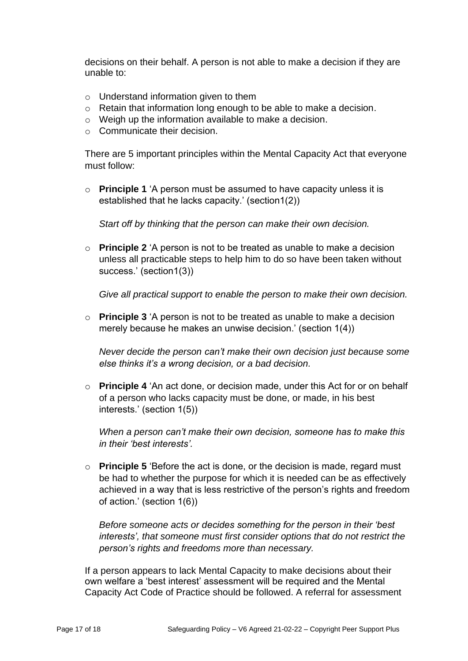decisions on their behalf. A person is not able to make a decision if they are unable to:

- o Understand information given to them
- o Retain that information long enough to be able to make a decision.
- $\circ$  Weigh up the information available to make a decision.
- o Communicate their decision.

There are 5 important principles within the Mental Capacity Act that everyone must follow:

o **Principle 1** 'A person must be assumed to have capacity unless it is established that he lacks capacity.' (section1(2))

*Start off by thinking that the person can make their own decision.*

o **Principle 2** 'A person is not to be treated as unable to make a decision unless all practicable steps to help him to do so have been taken without success.' (section1(3))

*Give all practical support to enable the person to make their own decision.*

o **Principle 3** 'A person is not to be treated as unable to make a decision merely because he makes an unwise decision.' (section 1(4))

*Never decide the person can't make their own decision just because some else thinks it's a wrong decision, or a bad decision.*

o **Principle 4** 'An act done, or decision made, under this Act for or on behalf of a person who lacks capacity must be done, or made, in his best interests.' (section 1(5))

*When a person can't make their own decision, someone has to make this in their 'best interests'.*

o **Principle 5** 'Before the act is done, or the decision is made, regard must be had to whether the purpose for which it is needed can be as effectively achieved in a way that is less restrictive of the person's rights and freedom of action.' (section 1(6))

*Before someone acts or decides something for the person in their 'best interests', that someone must first consider options that do not restrict the person's rights and freedoms more than necessary.* 

If a person appears to lack Mental Capacity to make decisions about their own welfare a 'best interest' assessment will be required and the Mental Capacity Act Code of Practice should be followed. A referral for assessment